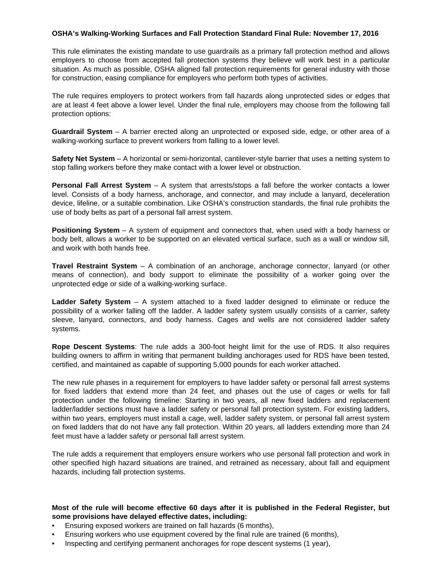## **OSHA's Walking-Working Surfaces and Fall Protection Standard Final Rule: November 17, 2016**

This rule eliminates the existing mandate to use guardrails as a primary fall protection method and allows employers to choose from accepted fall protection systems they believe will work best in a particular situation. As much as possible, OSHA aligned fall protection requirements for general industry with those for construction, easing compliance for employers who perform both types of activities.

The rule requires employers to protect workers from fall hazards along unprotected sides or edges that are at least 4 feet above a lower level. Under the final rule, employers may choose from the following fall protection options:

**Guardrail System** – A barrier erected along an unprotected or exposed side, edge, or other area of a walking-working surface to prevent workers from falling to a lower level.

**Safety Net System** – A horizontal or semi-horizontal, cantilever-style barrier that uses a netting system to stop falling workers before they make contact with a lower level or obstruction.

**Personal Fall Arrest System** – A system that arrests/stops a fall before the worker contacts a lower level. Consists of a body harness, anchorage, and connector, and may include a lanyard, deceleration device, lifeline, or a suitable combination. Like OSHA's construction standards, the final rule prohibits the use of body belts as part of a personal fall arrest system.

**Positioning System** – A system of equipment and connectors that, when used with a body harness or body belt, allows a worker to be supported on an elevated vertical surface, such as a wall or window sill, and work with both hands free.

**Travel Restraint System** – A combination of an anchorage, anchorage connector, lanyard (or other means of connection), and body support to eliminate the possibility of a worker going over the unprotected edge or side of a walking-working surface.

**Ladder Safety System** – A system attached to a fixed ladder designed to eliminate or reduce the possibility of a worker falling off the ladder. A ladder safety system usually consists of a carrier, safety sleeve, lanyard, connectors, and body harness. Cages and wells are not considered ladder safety systems.

**Rope Descent Systems**: The rule adds a 300-foot height limit for the use of RDS. It also requires building owners to affirm in writing that permanent building anchorages used for RDS have been tested, certified, and maintained as capable of supporting 5,000 pounds for each worker attached.

The new rule phases in a requirement for employers to have ladder safety or personal fall arrest systems for fixed ladders that extend more than 24 feet, and phases out the use of cages or wells for fall protection under the following timeline: Starting in two years, all new fixed ladders and replacement ladder/ladder sections must have a ladder safety or personal fall protection system. For existing ladders, within two years, employers must install a cage, well, ladder safety system, or personal fall arrest system on fixed ladders that do not have any fall protection. Within 20 years, all ladders extending more than 24 feet must have a ladder safety or personal fall arrest system.

The rule adds a requirement that employers ensure workers who use personal fall protection and work in other specified high hazard situations are trained, and retrained as necessary, about fall and equipment hazards, including fall protection systems.

## **Most of the rule will become effective 60 days after it is published in the Federal Register, but some provisions have delayed effective dates, including:**

- Ensuring exposed workers are trained on fall hazards (6 months),
- Ensuring workers who use equipment covered by the final rule are trained (6 months),
- Inspecting and certifying permanent anchorages for rope descent systems (1 year),